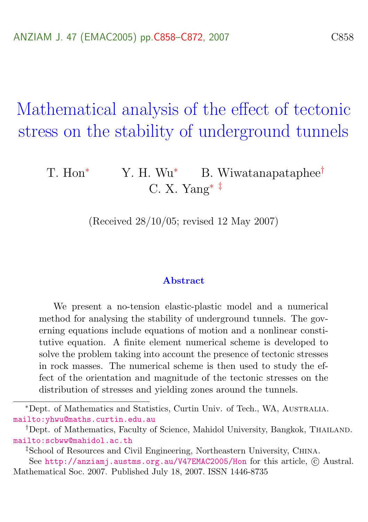Mathematical analysis of the effect of tectonic stress on the stability of underground tunnels

## T. Hon<sup>∗</sup> Y. H. Wu<sup>∗</sup> B. Wiwatanapataphee<sup>†</sup> C. X. Yang<sup>∗</sup> ‡

(Received 28/10/05; revised 12 May 2007)

#### Abstract

We present a no-tension elastic-plastic model and a numerical method for analysing the stability of underground tunnels. The governing equations include equations of motion and a nonlinear constitutive equation. A finite element numerical scheme is developed to solve the problem taking into account the presence of tectonic stresses in rock masses. The numerical scheme is then used to study the effect of the orientation and magnitude of the tectonic stresses on the distribution of stresses and yielding zones around the tunnels.

<sup>∗</sup>Dept. of Mathematics and Statistics, Curtin Univ. of Tech., WA, Australia. <mailto:yhwu@maths.curtin.edu.au>

<sup>&</sup>lt;sup>†</sup>Dept. of Mathematics, Faculty of Science, Mahidol University, Bangkok, THAILAND. <mailto:scbww@mahidol.ac.th>

<sup>‡</sup>School of Resources and Civil Engineering, Northeastern University, China.

See <http://anziamj.austms.org.au/V47EMAC2005/Hon> for this article, © Austral. Mathematical Soc. 2007. Published July 18, 2007. ISSN 1446-8735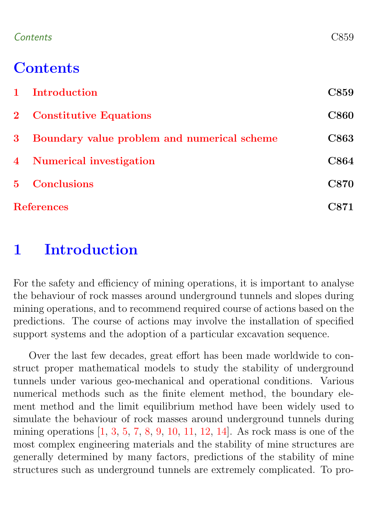### <span id="page-1-1"></span>Contents C859

## **Contents**

|                   | 1 Introduction                              | C859        |
|-------------------|---------------------------------------------|-------------|
|                   | 2 Constitutive Equations                    | <b>C860</b> |
| $3 -$             | Boundary value problem and numerical scheme | <b>C863</b> |
|                   | 4 Numerical investigation                   | <b>C864</b> |
|                   | 5 Conclusions                               | <b>C870</b> |
| <b>References</b> |                                             | C871        |

## <span id="page-1-0"></span>1 Introduction

For the safety and efficiency of mining operations, it is important to analyse the behaviour of rock masses around underground tunnels and slopes during mining operations, and to recommend required course of actions based on the predictions. The course of actions may involve the installation of specified support systems and the adoption of a particular excavation sequence.

Over the last few decades, great effort has been made worldwide to construct proper mathematical models to study the stability of underground tunnels under various geo-mechanical and operational conditions. Various numerical methods such as the finite element method, the boundary element method and the limit equilibrium method have been widely used to simulate the behaviour of rock masses around underground tunnels during mining operations [\[1,](#page-13-1) [3,](#page-13-2) [5,](#page-13-3) [7,](#page-13-4) [8,](#page-13-5) [9,](#page-14-0) [10,](#page-14-1) [11,](#page-14-2) [12,](#page-14-3) [14\]](#page-14-4). As rock mass is one of the most complex engineering materials and the stability of mine structures are generally determined by many factors, predictions of the stability of mine structures such as underground tunnels are extremely complicated. To pro-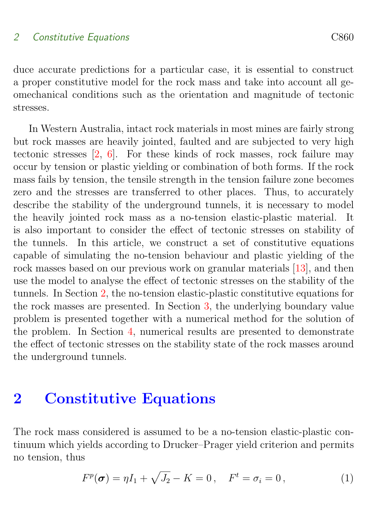#### <span id="page-2-1"></span>2 Constitutive Equations C860

duce accurate predictions for a particular case, it is essential to construct a proper constitutive model for the rock mass and take into account all geomechanical conditions such as the orientation and magnitude of tectonic stresses.

In Western Australia, intact rock materials in most mines are fairly strong but rock masses are heavily jointed, faulted and are subjected to very high tectonic stresses [\[2,](#page-13-6) [6\]](#page-13-7). For these kinds of rock masses, rock failure may occur by tension or plastic yielding or combination of both forms. If the rock mass fails by tension, the tensile strength in the tension failure zone becomes zero and the stresses are transferred to other places. Thus, to accurately describe the stability of the underground tunnels, it is necessary to model the heavily jointed rock mass as a no-tension elastic-plastic material. It is also important to consider the effect of tectonic stresses on stability of the tunnels. In this article, we construct a set of constitutive equations capable of simulating the no-tension behaviour and plastic yielding of the rock masses based on our previous work on granular materials [\[13\]](#page-14-5), and then use the model to analyse the effect of tectonic stresses on the stability of the tunnels. In Section [2,](#page-2-0) the no-tension elastic-plastic constitutive equations for the rock masses are presented. In Section [3,](#page-5-0) the underlying boundary value problem is presented together with a numerical method for the solution of the problem. In Section [4,](#page-6-0) numerical results are presented to demonstrate the effect of tectonic stresses on the stability state of the rock masses around the underground tunnels.

### <span id="page-2-0"></span>2 Constitutive Equations

The rock mass considered is assumed to be a no-tension elastic-plastic continuum which yields according to Drucker–Prager yield criterion and permits no tension, thus

$$
F^{p}(\sigma) = \eta I_{1} + \sqrt{J_{2}} - K = 0, \quad F^{t} = \sigma_{i} = 0,
$$
 (1)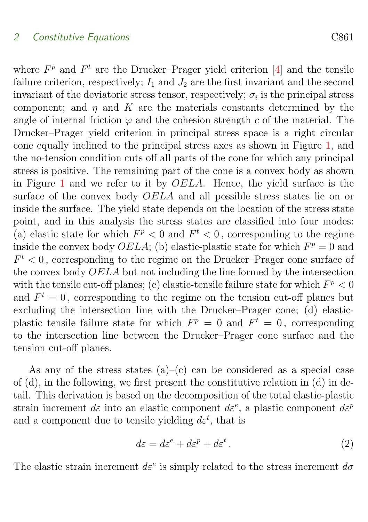#### <span id="page-3-0"></span>2 Constitutive Equations C861

where  $F<sup>p</sup>$  and  $F<sup>t</sup>$  are the Drucker–Prager yield criterion [\[4\]](#page-13-8) and the tensile failure criterion, respectively;  $I_1$  and  $J_2$  are the first invariant and the second invariant of the deviatoric stress tensor, respectively;  $\sigma_i$  is the principal stress component; and  $\eta$  and K are the materials constants determined by the angle of internal friction  $\varphi$  and the cohesion strength c of the material. The Drucker–Prager yield criterion in principal stress space is a right circular cone equally inclined to the principal stress axes as shown in Figure [1,](#page-4-0) and the no-tension condition cuts off all parts of the cone for which any principal stress is positive. The remaining part of the cone is a convex body as shown in Figure [1](#page-4-0) and we refer to it by OELA. Hence, the yield surface is the surface of the convex body OELA and all possible stress states lie on or inside the surface. The yield state depends on the location of the stress state point, and in this analysis the stress states are classified into four modes: (a) elastic state for which  $F^p < 0$  and  $F^t < 0$ , corresponding to the regime inside the convex body  $OELA$ ; (b) elastic-plastic state for which  $F<sup>p</sup> = 0$  and  $F<sub>t</sub> < 0$ , corresponding to the regime on the Drucker–Prager cone surface of the convex body OELA but not including the line formed by the intersection with the tensile cut-off planes; (c) elastic-tensile failure state for which  $F^p < 0$ and  $F^t = 0$ , corresponding to the regime on the tension cut-off planes but excluding the intersection line with the Drucker–Prager cone; (d) elasticplastic tensile failure state for which  $F^p = 0$  and  $F^t = 0$ , corresponding to the intersection line between the Drucker–Prager cone surface and the tension cut-off planes.

As any of the stress states  $(a)$ – $(c)$  can be considered as a special case of (d), in the following, we first present the constitutive relation in (d) in detail. This derivation is based on the decomposition of the total elastic-plastic strain increment  $d\varepsilon$  into an elastic component  $d\varepsilon^e$ , a plastic component  $d\varepsilon^p$ and a component due to tensile yielding  $d\varepsilon^t$ , that is

$$
d\varepsilon = d\varepsilon^e + d\varepsilon^p + d\varepsilon^t. \tag{2}
$$

The elastic strain increment  $d\varepsilon^e$  is simply related to the stress increment  $d\sigma$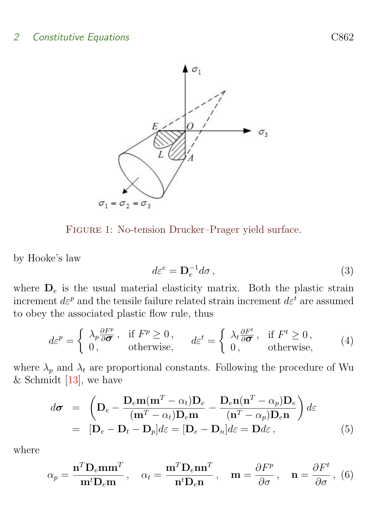### <span id="page-4-1"></span>2 Constitutive Equations C862



<span id="page-4-0"></span>Figure 1: No-tension Drucker–Prager yield surface.

by Hooke's law

$$
d\varepsilon^e = \mathbf{D}_e^{-1} d\sigma \,,\tag{3}
$$

where  $D_e$  is the usual material elasticity matrix. Both the plastic strain increment  $d\varepsilon^p$  and the tensile failure related strain increment  $d\varepsilon^t$  are assumed to obey the associated plastic flow rule, thus

$$
d\varepsilon^{p} = \begin{cases} \lambda_{p} \frac{\partial F^{p}}{\partial \sigma}, & \text{if } F^{p} \ge 0, \\ 0, & \text{otherwise,} \end{cases} \qquad d\varepsilon^{t} = \begin{cases} \lambda_{t} \frac{\partial F^{t}}{\partial \sigma}, & \text{if } F^{t} \ge 0, \\ 0, & \text{otherwise,} \end{cases}
$$
 (4)

where  $\lambda_p$  and  $\lambda_t$  are proportional constants. Following the procedure of Wu & Schmidt  $[13]$ , we have

$$
d\boldsymbol{\sigma} = \left( \mathbf{D}_e - \frac{\mathbf{D}_e \mathbf{m} (\mathbf{m}^T - \alpha_t) \mathbf{D}_e}{(\mathbf{m}^T - \alpha_t) \mathbf{D}_e \mathbf{m}} - \frac{\mathbf{D}_e \mathbf{n} (\mathbf{n}^T - \alpha_p) \mathbf{D}_e}{(\mathbf{n}^T - \alpha_p) \mathbf{D}_e \mathbf{n}} \right) d\varepsilon
$$
  
= 
$$
[\mathbf{D}_e - \mathbf{D}_t - \mathbf{D}_p] d\varepsilon = [\mathbf{D}_e - \mathbf{D}_n] d\varepsilon = \mathbf{D} d\varepsilon, \qquad (5)
$$

where

$$
\alpha_p = \frac{\mathbf{n}^T \mathbf{D}_e \mathbf{m} \mathbf{m}^T}{\mathbf{m}^t \mathbf{D}_e \mathbf{m}}, \quad \alpha_t = \frac{\mathbf{m}^T \mathbf{D}_e \mathbf{n} \mathbf{n}^T}{\mathbf{n}^t \mathbf{D}_e \mathbf{n}}, \quad \mathbf{m} = \frac{\partial F^p}{\partial \sigma}, \quad \mathbf{n} = \frac{\partial F^t}{\partial \sigma}, \tag{6}
$$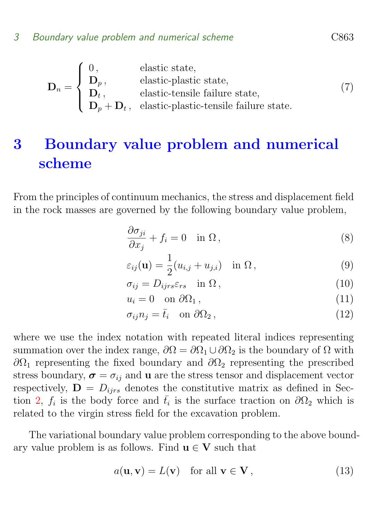$$
\mathbf{D}_n = \begin{cases} 0, & \text{elastic state,} \\ \mathbf{D}_p, & \text{elastic-plastic state,} \\ \mathbf{D}_t, & \text{elastic-tensile failure state,} \\ \mathbf{D}_p + \mathbf{D}_t, & \text{elastic-plastic-tensile failure state.} \end{cases}
$$
(7)

# <span id="page-5-0"></span>3 Boundary value problem and numerical scheme

From the principles of continuum mechanics, the stress and displacement field in the rock masses are governed by the following boundary value problem,

$$
\frac{\partial \sigma_{ji}}{\partial x_j} + f_i = 0 \quad \text{in } \Omega \,, \tag{8}
$$

$$
\varepsilon_{ij}(\mathbf{u}) = \frac{1}{2}(u_{i,j} + u_{j,i}) \quad \text{in } \Omega \,, \tag{9}
$$

$$
\sigma_{ij} = D_{ijrs} \varepsilon_{rs} \quad \text{in } \Omega \,, \tag{10}
$$

$$
u_i = 0 \quad \text{on } \partial\Omega_1 \,, \tag{11}
$$

$$
\sigma_{ij} n_j = \bar{t}_i \quad \text{on } \partial \Omega_2 \,, \tag{12}
$$

where we use the index notation with repeated literal indices representing summation over the index range,  $\partial\Omega = \partial\Omega_1 \cup \partial\Omega_2$  is the boundary of  $\Omega$  with  $\partial Ω_1$  representing the fixed boundary and  $\partial Ω_2$  representing the prescribed stress boundary,  $\sigma = \sigma_{ij}$  and **u** are the stress tensor and displacement vector respectively,  $\mathbf{D} = D_{iirs}$  denotes the constitutive matrix as defined in Sec-tion [2,](#page-2-0)  $f_i$  is the body force and  $\bar{t}_i$  is the surface traction on  $\partial\Omega_2$  which is related to the virgin stress field for the excavation problem.

The variational boundary value problem corresponding to the above boundary value problem is as follows. Find  $u \in V$  such that

$$
a(\mathbf{u}, \mathbf{v}) = L(\mathbf{v}) \quad \text{for all } \mathbf{v} \in \mathbf{V}, \tag{13}
$$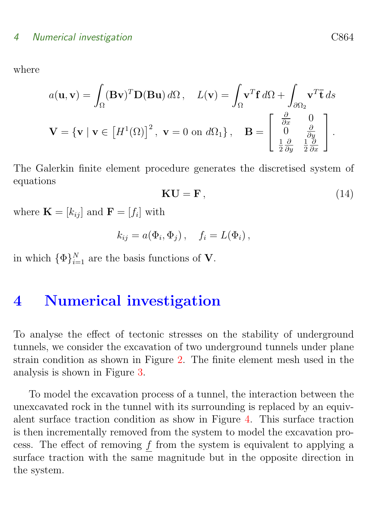where

$$
a(\mathbf{u}, \mathbf{v}) = \int_{\Omega} (\mathbf{B} \mathbf{v})^T \mathbf{D}(\mathbf{B} \mathbf{u}) d\Omega, \quad L(\mathbf{v}) = \int_{\Omega} \mathbf{v}^T \mathbf{f} d\Omega + \int_{\partial \Omega_2} \mathbf{v}^T \mathbf{\bar{t}} ds
$$

$$
\mathbf{V} = \{ \mathbf{v} \mid \mathbf{v} \in \left[ H^1(\Omega) \right]^2, \ \mathbf{v} = 0 \text{ on } d\Omega_1 \}, \quad \mathbf{B} = \begin{bmatrix} \frac{\partial}{\partial x} & 0 \\ 0 & \frac{\partial}{\partial y} \\ \frac{1}{2} \frac{\partial}{\partial y} & \frac{1}{2} \frac{\partial}{\partial x} \end{bmatrix}.
$$

The Galerkin finite element procedure generates the discretised system of equations

$$
KU = F, \t\t(14)
$$

where  $\mathbf{K} = [k_{ij}]$  and  $\mathbf{F} = [f_i]$  with

$$
k_{ij} = a(\Phi_i, \Phi_j), \quad f_i = L(\Phi_i),
$$

in which  $\{\Phi\}_{i=1}^N$  are the basis functions of **V**.

### <span id="page-6-0"></span>4 Numerical investigation

To analyse the effect of tectonic stresses on the stability of underground tunnels, we consider the excavation of two underground tunnels under plane strain condition as shown in Figure [2.](#page-7-0) The finite element mesh used in the analysis is shown in Figure [3.](#page-8-0)

To model the excavation process of a tunnel, the interaction between the unexcavated rock in the tunnel with its surrounding is replaced by an equivalent surface traction condition as show in Figure [4.](#page-8-1) This surface traction is then incrementally removed from the system to model the excavation process. The effect of removing  $f$  from the system is equivalent to applying a surface traction with the same magnitude but in the opposite direction in the system.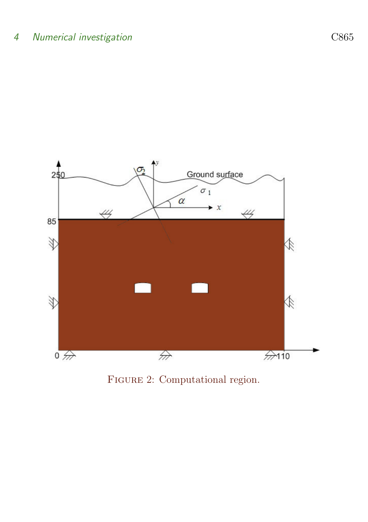

<span id="page-7-0"></span>FIGURE 2: Computational region.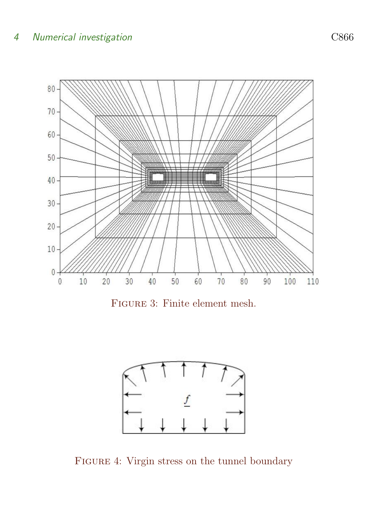

<span id="page-8-0"></span>Figure 3: Finite element mesh.



<span id="page-8-1"></span>FIGURE 4: Virgin stress on the tunnel boundary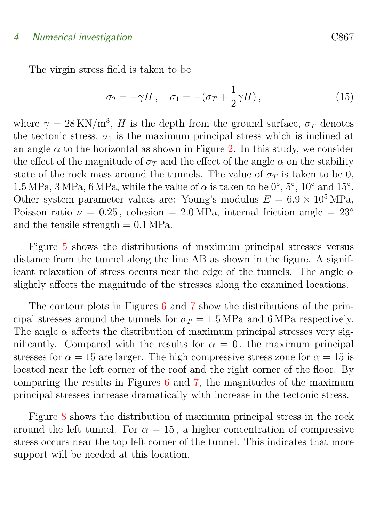#### 4 Numerical investigation C867

The virgin stress field is taken to be

$$
\sigma_2 = -\gamma H \,, \quad \sigma_1 = -(\sigma_T + \frac{1}{2}\gamma H) \,, \tag{15}
$$

where  $\gamma = 28 \text{ KN/m}^3$ , H is the depth from the ground surface,  $\sigma_T$  denotes the tectonic stress,  $\sigma_1$  is the maximum principal stress which is inclined at an angle  $\alpha$  to the horizontal as shown in Figure [2.](#page-7-0) In this study, we consider the effect of the magnitude of  $\sigma_T$  and the effect of the angle  $\alpha$  on the stability state of the rock mass around the tunnels. The value of  $\sigma_T$  is taken to be 0, 1.5 MPa, 3 MPa, 6 MPa, while the value of  $\alpha$  is taken to be  $0^{\circ}$ ,  $5^{\circ}$ ,  $10^{\circ}$  and  $15^{\circ}$ . Other system parameter values are: Young's modulus  $E = 6.9 \times 10^5 \text{ MPa}$ , Poisson ratio  $\nu = 0.25$ , cohesion = 2.0 MPa, internal friction angle = 23° and the tensile strength  $= 0.1 \text{ MPa}$ .

Figure [5](#page-10-0) shows the distributions of maximum principal stresses versus distance from the tunnel along the line AB as shown in the figure. A significant relaxation of stress occurs near the edge of the tunnels. The angle  $\alpha$ slightly affects the magnitude of the stresses along the examined locations.

The contour plots in Figures [6](#page-11-0) and [7](#page-11-1) show the distributions of the principal stresses around the tunnels for  $\sigma_T = 1.5 \text{ MPa}$  and 6 MPa respectively. The angle  $\alpha$  affects the distribution of maximum principal stresses very significantly. Compared with the results for  $\alpha = 0$ , the maximum principal stresses for  $\alpha = 15$  are larger. The high compressive stress zone for  $\alpha = 15$  is located near the left corner of the roof and the right corner of the floor. By comparing the results in Figures [6](#page-11-0) and [7,](#page-11-1) the magnitudes of the maximum principal stresses increase dramatically with increase in the tectonic stress.

<span id="page-9-0"></span>Figure [8](#page-12-0) shows the distribution of maximum principal stress in the rock around the left tunnel. For  $\alpha = 15$ , a higher concentration of compressive stress occurs near the top left corner of the tunnel. This indicates that more support will be needed at this location.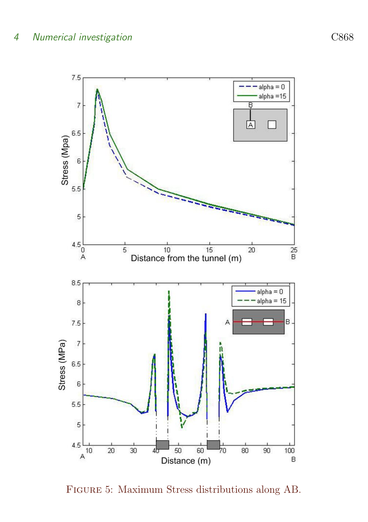

<span id="page-10-0"></span>Figure 5: Maximum Stress distributions along AB.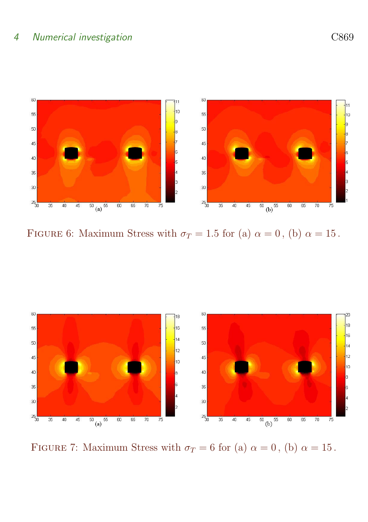

<span id="page-11-0"></span>FIGURE 6: Maximum Stress with  $\sigma_T = 1.5$  for (a)  $\alpha = 0$ , (b)  $\alpha = 15$ .



<span id="page-11-1"></span>FIGURE 7: Maximum Stress with  $\sigma_T = 6$  for (a)  $\alpha = 0$ , (b)  $\alpha = 15$ .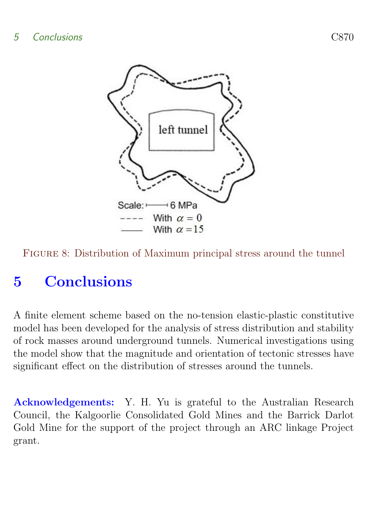

<span id="page-12-0"></span>Figure 8: Distribution of Maximum principal stress around the tunnel

# 5 Conclusions

A finite element scheme based on the no-tension elastic-plastic constitutive model has been developed for the analysis of stress distribution and stability of rock masses around underground tunnels. Numerical investigations using the model show that the magnitude and orientation of tectonic stresses have significant effect on the distribution of stresses around the tunnels.

Acknowledgements: Y. H. Yu is grateful to the Australian Research Council, the Kalgoorlie Consolidated Gold Mines and the Barrick Darlot Gold Mine for the support of the project through an ARC linkage Project grant.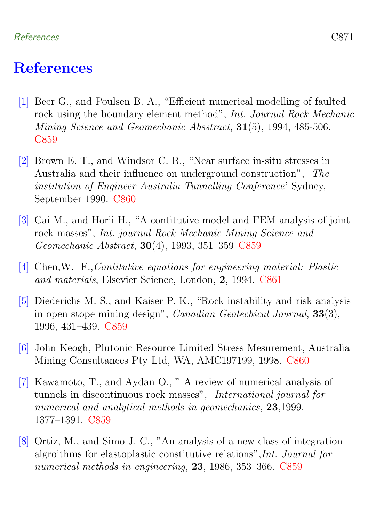#### References C871

### References

- <span id="page-13-1"></span><span id="page-13-0"></span>[1] Beer G., and Poulsen B. A., "Efficient numerical modelling of faulted rock using the boundary element method", Int. Journal Rock Mechanic Mining Science and Geomechanic Absstract, 31(5), 1994, 485-506. [C859](#page-1-1)
- <span id="page-13-6"></span>[2] Brown E. T., and Windsor C. R., "Near surface in-situ stresses in Australia and their influence on underground construction", The institution of Engineer Australia Tunnelling Conference' Sydney, September 1990. [C860](#page-2-1)
- <span id="page-13-2"></span>[3] Cai M., and Horii H., "A contitutive model and FEM analysis of joint rock masses", Int. journal Rock Mechanic Mining Science and Geomechanic Abstract, 30(4), 1993, 351–359 [C859](#page-1-1)
- <span id="page-13-8"></span>[4] Chen,W. F.,Contitutive equations for engineering material: Plastic and materials, Elsevier Science, London, 2, 1994. [C861](#page-3-0)
- <span id="page-13-3"></span>[5] Diederichs M. S., and Kaiser P. K., "Rock instability and risk analysis in open stope mining design", Canadian Geotechical Journal, 33(3), 1996, 431–439. [C859](#page-1-1)
- <span id="page-13-7"></span>[6] John Keogh, Plutonic Resource Limited Stress Mesurement, Australia Mining Consultances Pty Ltd, WA, AMC197199, 1998. [C860](#page-2-1)
- <span id="page-13-4"></span>[7] Kawamoto, T., and Aydan O., " A review of numerical analysis of tunnels in discontinuous rock masses", International journal for numerical and analytical methods in geomechanics, 23,1999, 1377–1391. [C859](#page-1-1)
- <span id="page-13-5"></span>[8] Ortiz, M., and Simo J. C., "An analysis of a new class of integration algroithms for elastoplastic constitutive relations",Int. Journal for numerical methods in engineering, 23, 1986, 353–366. [C859](#page-1-1)